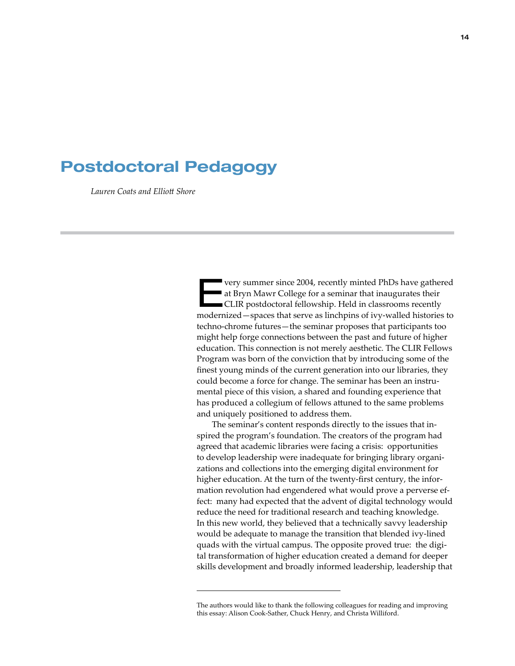# Postdoctoral Pedagogy

*Lauren Coats and Elliott Shore*

very summer since 2004, recently minted PhDs have gathered<br>
at Bryn Mawr College for a seminar that inaugurates their<br>
CLIR postdoctoral fellowship. Held in classrooms recently at Bryn Mawr College for a seminar that inaugurates their modernized—spaces that serve as linchpins of ivy-walled histories to techno-chrome futures—the seminar proposes that participants too might help forge connections between the past and future of higher education. This connection is not merely aesthetic. The CLIR Fellows Program was born of the conviction that by introducing some of the finest young minds of the current generation into our libraries, they could become a force for change. The seminar has been an instrumental piece of this vision, a shared and founding experience that has produced a collegium of fellows attuned to the same problems and uniquely positioned to address them.

The seminar's content responds directly to the issues that inspired the program's foundation. The creators of the program had agreed that academic libraries were facing a crisis: opportunities to develop leadership were inadequate for bringing library organizations and collections into the emerging digital environment for higher education. At the turn of the twenty-first century, the information revolution had engendered what would prove a perverse effect: many had expected that the advent of digital technology would reduce the need for traditional research and teaching knowledge. In this new world, they believed that a technically savvy leadership would be adequate to manage the transition that blended ivy-lined quads with the virtual campus. The opposite proved true: the digital transformation of higher education created a demand for deeper skills development and broadly informed leadership, leadership that

The authors would like to thank the following colleagues for reading and improving this essay: Alison Cook-Sather, Chuck Henry, and Christa Williford.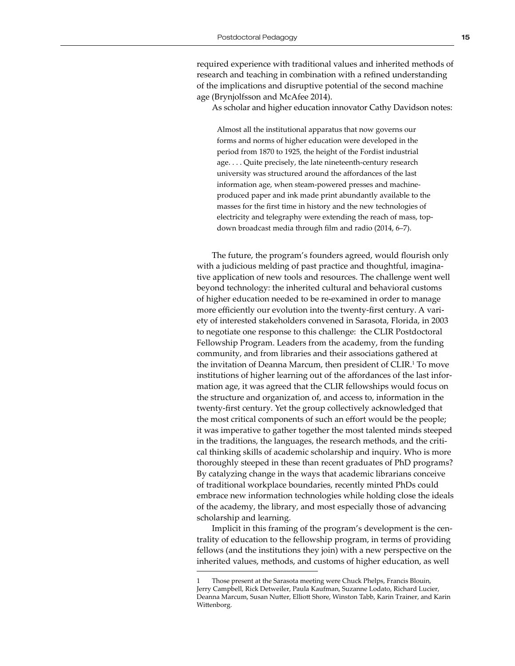required experience with traditional values and inherited methods of research and teaching in combination with a refined understanding of the implications and disruptive potential of the second machine age (Brynjolfsson and McAfee 2014).

As scholar and higher education innovator Cathy Davidson notes:

Almost all the institutional apparatus that now governs our forms and norms of higher education were developed in the period from 1870 to 1925, the height of the Fordist industrial age. . . . Quite precisely, the late nineteenth-century research university was structured around the affordances of the last information age, when steam-powered presses and machineproduced paper and ink made print abundantly available to the masses for the first time in history and the new technologies of electricity and telegraphy were extending the reach of mass, topdown broadcast media through film and radio (2014, 6–7).

The future, the program's founders agreed, would flourish only with a judicious melding of past practice and thoughtful, imaginative application of new tools and resources. The challenge went well beyond technology: the inherited cultural and behavioral customs of higher education needed to be re-examined in order to manage more efficiently our evolution into the twenty-first century. A variety of interested stakeholders convened in Sarasota, Florida, in 2003 to negotiate one response to this challenge: the CLIR Postdoctoral Fellowship Program. Leaders from the academy, from the funding community, and from libraries and their associations gathered at the invitation of Deanna Marcum, then president of CLIR.<sup>1</sup> To move institutions of higher learning out of the affordances of the last information age, it was agreed that the CLIR fellowships would focus on the structure and organization of, and access to, information in the twenty-first century. Yet the group collectively acknowledged that the most critical components of such an effort would be the people; it was imperative to gather together the most talented minds steeped in the traditions, the languages, the research methods, and the critical thinking skills of academic scholarship and inquiry. Who is more thoroughly steeped in these than recent graduates of PhD programs? By catalyzing change in the ways that academic librarians conceive of traditional workplace boundaries, recently minted PhDs could embrace new information technologies while holding close the ideals of the academy, the library, and most especially those of advancing scholarship and learning.

Implicit in this framing of the program's development is the centrality of education to the fellowship program, in terms of providing fellows (and the institutions they join) with a new perspective on the inherited values, methods, and customs of higher education, as well

Those present at the Sarasota meeting were Chuck Phelps, Francis Blouin, Jerry Campbell, Rick Detweiler, Paula Kaufman, Suzanne Lodato, Richard Lucier, Deanna Marcum, Susan Nutter, Elliott Shore, Winston Tabb, Karin Trainer, and Karin Wittenborg.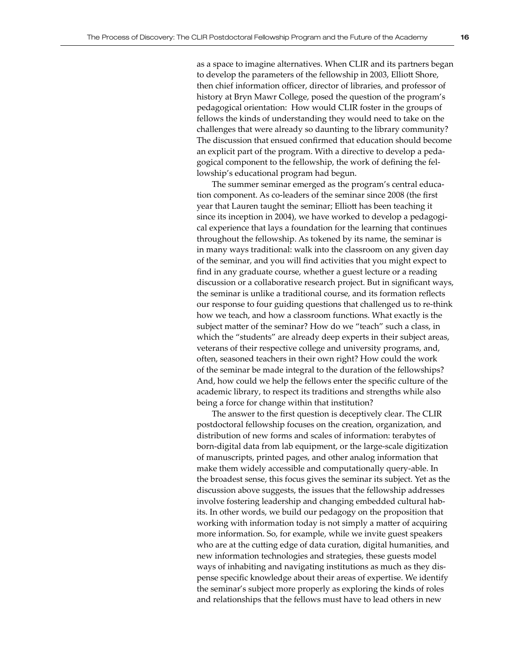as a space to imagine alternatives. When CLIR and its partners began to develop the parameters of the fellowship in 2003, Elliott Shore, then chief information officer, director of libraries, and professor of history at Bryn Mawr College, posed the question of the program's pedagogical orientation: How would CLIR foster in the groups of fellows the kinds of understanding they would need to take on the challenges that were already so daunting to the library community? The discussion that ensued confirmed that education should become an explicit part of the program. With a directive to develop a pedagogical component to the fellowship, the work of defining the fellowship's educational program had begun.

The summer seminar emerged as the program's central education component. As co-leaders of the seminar since 2008 (the first year that Lauren taught the seminar; Elliott has been teaching it since its inception in 2004), we have worked to develop a pedagogical experience that lays a foundation for the learning that continues throughout the fellowship. As tokened by its name, the seminar is in many ways traditional: walk into the classroom on any given day of the seminar, and you will find activities that you might expect to find in any graduate course, whether a guest lecture or a reading discussion or a collaborative research project. But in significant ways, the seminar is unlike a traditional course, and its formation reflects our response to four guiding questions that challenged us to re-think how we teach, and how a classroom functions. What exactly is the subject matter of the seminar? How do we "teach" such a class, in which the "students" are already deep experts in their subject areas, veterans of their respective college and university programs, and, often, seasoned teachers in their own right? How could the work of the seminar be made integral to the duration of the fellowships? And, how could we help the fellows enter the specific culture of the academic library, to respect its traditions and strengths while also being a force for change within that institution?

The answer to the first question is deceptively clear. The CLIR postdoctoral fellowship focuses on the creation, organization, and distribution of new forms and scales of information: terabytes of born-digital data from lab equipment, or the large-scale digitization of manuscripts, printed pages, and other analog information that make them widely accessible and computationally query-able. In the broadest sense, this focus gives the seminar its subject. Yet as the discussion above suggests, the issues that the fellowship addresses involve fostering leadership and changing embedded cultural habits. In other words, we build our pedagogy on the proposition that working with information today is not simply a matter of acquiring more information. So, for example, while we invite guest speakers who are at the cutting edge of data curation, digital humanities, and new information technologies and strategies, these guests model ways of inhabiting and navigating institutions as much as they dispense specific knowledge about their areas of expertise. We identify the seminar's subject more properly as exploring the kinds of roles and relationships that the fellows must have to lead others in new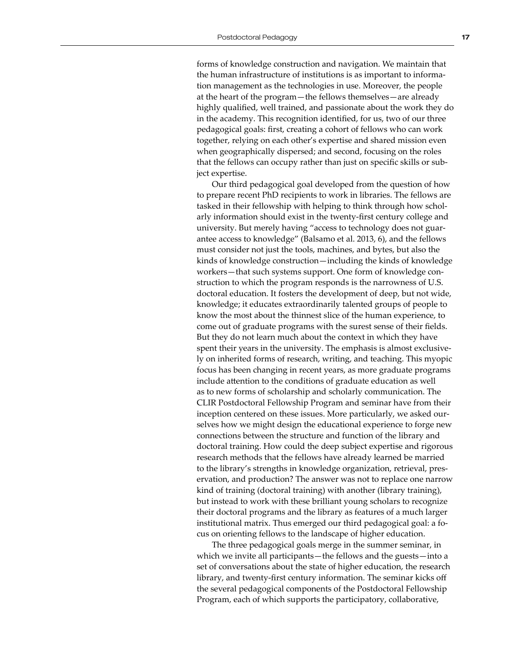forms of knowledge construction and navigation. We maintain that the human infrastructure of institutions is as important to information management as the technologies in use. Moreover, the people at the heart of the program—the fellows themselves—are already highly qualified, well trained, and passionate about the work they do in the academy. This recognition identified, for us, two of our three pedagogical goals: first, creating a cohort of fellows who can work together, relying on each other's expertise and shared mission even when geographically dispersed; and second, focusing on the roles that the fellows can occupy rather than just on specific skills or subject expertise.

Our third pedagogical goal developed from the question of how to prepare recent PhD recipients to work in libraries. The fellows are tasked in their fellowship with helping to think through how scholarly information should exist in the twenty-first century college and university. But merely having "access to technology does not guarantee access to knowledge" (Balsamo et al. 2013, 6), and the fellows must consider not just the tools, machines, and bytes, but also the kinds of knowledge construction—including the kinds of knowledge workers—that such systems support. One form of knowledge construction to which the program responds is the narrowness of U.S. doctoral education. It fosters the development of deep, but not wide, knowledge; it educates extraordinarily talented groups of people to know the most about the thinnest slice of the human experience, to come out of graduate programs with the surest sense of their fields. But they do not learn much about the context in which they have spent their years in the university. The emphasis is almost exclusively on inherited forms of research, writing, and teaching. This myopic focus has been changing in recent years, as more graduate programs include attention to the conditions of graduate education as well as to new forms of scholarship and scholarly communication. The CLIR Postdoctoral Fellowship Program and seminar have from their inception centered on these issues. More particularly, we asked ourselves how we might design the educational experience to forge new connections between the structure and function of the library and doctoral training. How could the deep subject expertise and rigorous research methods that the fellows have already learned be married to the library's strengths in knowledge organization, retrieval, preservation, and production? The answer was not to replace one narrow kind of training (doctoral training) with another (library training), but instead to work with these brilliant young scholars to recognize their doctoral programs and the library as features of a much larger institutional matrix. Thus emerged our third pedagogical goal: a focus on orienting fellows to the landscape of higher education.

The three pedagogical goals merge in the summer seminar, in which we invite all participants—the fellows and the guests—into a set of conversations about the state of higher education, the research library, and twenty-first century information. The seminar kicks off the several pedagogical components of the Postdoctoral Fellowship Program, each of which supports the participatory, collaborative,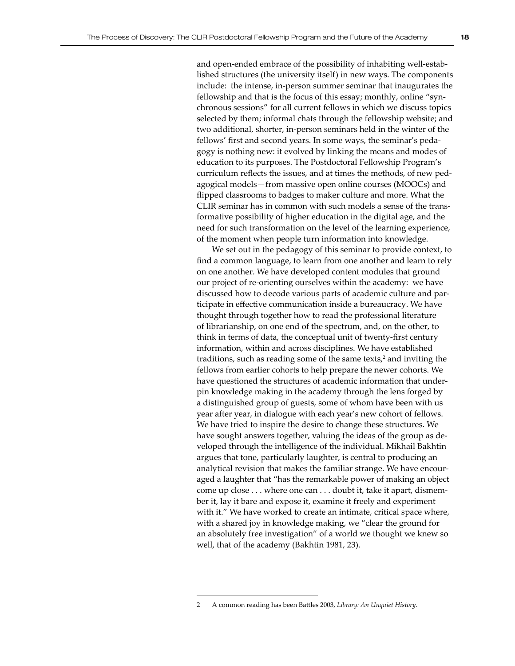and open-ended embrace of the possibility of inhabiting well-established structures (the university itself) in new ways. The components include: the intense, in-person summer seminar that inaugurates the fellowship and that is the focus of this essay; monthly, online "synchronous sessions" for all current fellows in which we discuss topics selected by them; informal chats through the fellowship website; and two additional, shorter, in-person seminars held in the winter of the fellows' first and second years. In some ways, the seminar's pedagogy is nothing new: it evolved by linking the means and modes of education to its purposes. The Postdoctoral Fellowship Program's curriculum reflects the issues, and at times the methods, of new pedagogical models—from massive open online courses (MOOCs) and flipped classrooms to badges to maker culture and more. What the CLIR seminar has in common with such models a sense of the transformative possibility of higher education in the digital age, and the need for such transformation on the level of the learning experience, of the moment when people turn information into knowledge.

We set out in the pedagogy of this seminar to provide context, to find a common language, to learn from one another and learn to rely on one another. We have developed content modules that ground our project of re-orienting ourselves within the academy: we have discussed how to decode various parts of academic culture and participate in effective communication inside a bureaucracy. We have thought through together how to read the professional literature of librarianship, on one end of the spectrum, and, on the other, to think in terms of data, the conceptual unit of twenty-first century information, within and across disciplines. We have established traditions, such as reading some of the same texts, $2$  and inviting the fellows from earlier cohorts to help prepare the newer cohorts. We have questioned the structures of academic information that underpin knowledge making in the academy through the lens forged by a distinguished group of guests, some of whom have been with us year after year, in dialogue with each year's new cohort of fellows. We have tried to inspire the desire to change these structures. We have sought answers together, valuing the ideas of the group as developed through the intelligence of the individual. Mikhail Bakhtin argues that tone, particularly laughter, is central to producing an analytical revision that makes the familiar strange. We have encouraged a laughter that "has the remarkable power of making an object come up close . . . where one can . . . doubt it, take it apart, dismember it, lay it bare and expose it, examine it freely and experiment with it." We have worked to create an intimate, critical space where, with a shared joy in knowledge making, we "clear the ground for an absolutely free investigation" of a world we thought we knew so well, that of the academy (Bakhtin 1981, 23).

<sup>2</sup> A common reading has been Battles 2003, *Library: An Unquiet History*.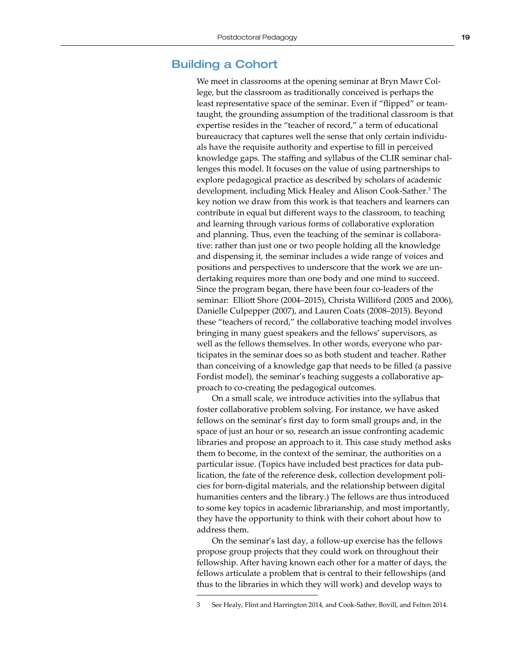#### Building a Cohort

We meet in classrooms at the opening seminar at Bryn Mawr College, but the classroom as traditionally conceived is perhaps the least representative space of the seminar. Even if "flipped" or teamtaught, the grounding assumption of the traditional classroom is that expertise resides in the "teacher of record," a term of educational bureaucracy that captures well the sense that only certain individuals have the requisite authority and expertise to fill in perceived knowledge gaps. The staffing and syllabus of the CLIR seminar challenges this model. It focuses on the value of using partnerships to explore pedagogical practice as described by scholars of academic development, including Mick Healey and Alison Cook-Sather.<sup>3</sup> The key notion we draw from this work is that teachers and learners can contribute in equal but different ways to the classroom, to teaching and learning through various forms of collaborative exploration and planning. Thus, even the teaching of the seminar is collaborative: rather than just one or two people holding all the knowledge and dispensing it, the seminar includes a wide range of voices and positions and perspectives to underscore that the work we are undertaking requires more than one body and one mind to succeed. Since the program began, there have been four co-leaders of the seminar: Elliott Shore (2004–2015), Christa Williford (2005 and 2006), Danielle Culpepper (2007), and Lauren Coats (2008–2015). Beyond these "teachers of record," the collaborative teaching model involves bringing in many guest speakers and the fellows' supervisors, as well as the fellows themselves. In other words, everyone who participates in the seminar does so as both student and teacher. Rather than conceiving of a knowledge gap that needs to be filled (a passive Fordist model), the seminar's teaching suggests a collaborative approach to co-creating the pedagogical outcomes.

On a small scale, we introduce activities into the syllabus that foster collaborative problem solving. For instance, we have asked fellows on the seminar's first day to form small groups and, in the space of just an hour or so, research an issue confronting academic libraries and propose an approach to it. This case study method asks them to become, in the context of the seminar, the authorities on a particular issue. (Topics have included best practices for data publication, the fate of the reference desk, collection development policies for born-digital materials, and the relationship between digital humanities centers and the library.) The fellows are thus introduced to some key topics in academic librarianship, and most importantly, they have the opportunity to think with their cohort about how to address them.

On the seminar's last day, a follow-up exercise has the fellows propose group projects that they could work on throughout their fellowship. After having known each other for a matter of days, the fellows articulate a problem that is central to their fellowships (and thus to the libraries in which they will work) and develop ways to

<sup>3</sup> See Healy, Flint and Harrington 2014, and Cook-Sather, Bovill, and Felten 2014.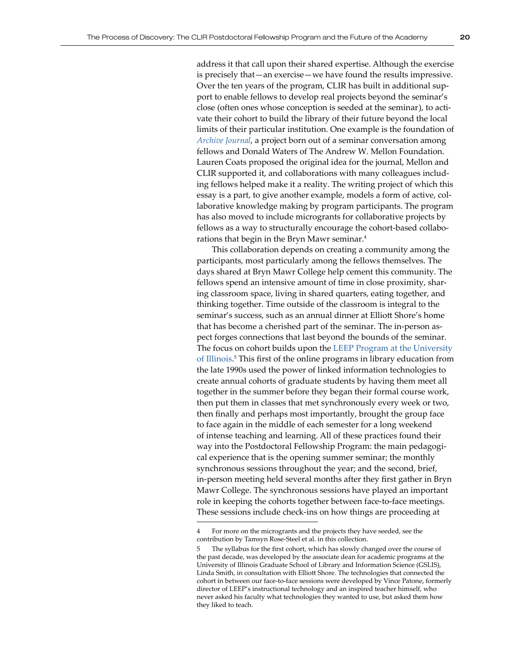address it that call upon their shared expertise. Although the exercise is precisely that—an exercise—we have found the results impressive. Over the ten years of the program, CLIR has built in additional support to enable fellows to develop real projects beyond the seminar's close (often ones whose conception is seeded at the seminar), to activate their cohort to build the library of their future beyond the local limits of their particular institution. One example is the foundation of *[Archive Journal](http://www.archivejournal.net)*, a project born out of a seminar conversation among fellows and Donald Waters of The Andrew W. Mellon Foundation. Lauren Coats proposed the original idea for the journal, Mellon and CLIR supported it, and collaborations with many colleagues including fellows helped make it a reality. The writing project of which this essay is a part, to give another example, models a form of active, collaborative knowledge making by program participants. The program has also moved to include microgrants for collaborative projects by fellows as a way to structurally encourage the cohort-based collaborations that begin in the Bryn Mawr seminar.<sup>4</sup>

This collaboration depends on creating a community among the participants, most particularly among the fellows themselves. The days shared at Bryn Mawr College help cement this community. The fellows spend an intensive amount of time in close proximity, sharing classroom space, living in shared quarters, eating together, and thinking together. Time outside of the classroom is integral to the seminar's success, such as an annual dinner at Elliott Shore's home that has become a cherished part of the seminar. The in-person aspect forges connections that last beyond the bounds of the seminar. The focus on cohort builds upon the [LEEP Program at the University](http://www.lis.illinois.edu/articles/tags/leep)  [of Illinois](http://www.lis.illinois.edu/articles/tags/leep). 5 This first of the online programs in library education from the late 1990s used the power of linked information technologies to create annual cohorts of graduate students by having them meet all together in the summer before they began their formal course work, then put them in classes that met synchronously every week or two, then finally and perhaps most importantly, brought the group face to face again in the middle of each semester for a long weekend of intense teaching and learning. All of these practices found their way into the Postdoctoral Fellowship Program: the main pedagogical experience that is the opening summer seminar; the monthly synchronous sessions throughout the year; and the second, brief, in-person meeting held several months after they first gather in Bryn Mawr College. The synchronous sessions have played an important role in keeping the cohorts together between face-to-face meetings. These sessions include check-ins on how things are proceeding at

<sup>4</sup> For more on the microgrants and the projects they have seeded, see the contribution by Tamsyn Rose-Steel et al. in this collection.

<sup>5</sup> The syllabus for the first cohort, which has slowly changed over the course of the past decade, was developed by the associate dean for academic programs at the University of Illinois Graduate School of Library and Information Science (GSLIS), Linda Smith, in consultation with Elliott Shore. The technologies that connected the cohort in between our face-to-face sessions were developed by Vince Patone, formerly director of LEEP's instructional technology and an inspired teacher himself, who never asked his faculty what technologies they wanted to use, but asked them how they liked to teach.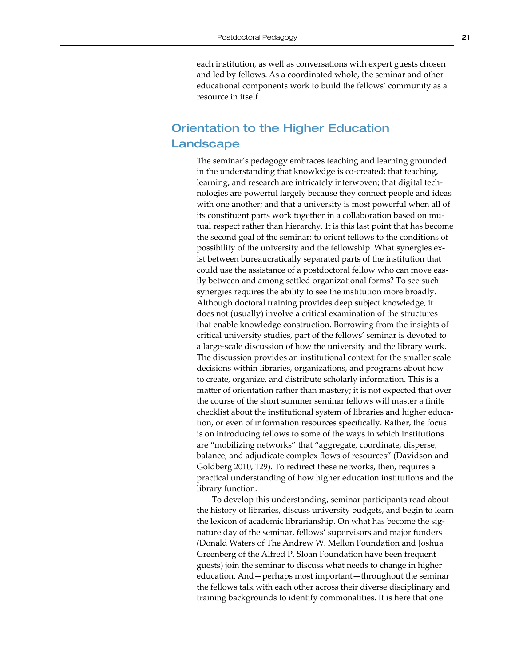each institution, as well as conversations with expert guests chosen and led by fellows. As a coordinated whole, the seminar and other educational components work to build the fellows' community as a resource in itself.

## Orientation to the Higher Education Landscape

The seminar's pedagogy embraces teaching and learning grounded in the understanding that knowledge is co-created; that teaching, learning, and research are intricately interwoven; that digital technologies are powerful largely because they connect people and ideas with one another; and that a university is most powerful when all of its constituent parts work together in a collaboration based on mutual respect rather than hierarchy. It is this last point that has become the second goal of the seminar: to orient fellows to the conditions of possibility of the university and the fellowship. What synergies exist between bureaucratically separated parts of the institution that could use the assistance of a postdoctoral fellow who can move easily between and among settled organizational forms? To see such synergies requires the ability to see the institution more broadly. Although doctoral training provides deep subject knowledge, it does not (usually) involve a critical examination of the structures that enable knowledge construction. Borrowing from the insights of critical university studies, part of the fellows' seminar is devoted to a large-scale discussion of how the university and the library work. The discussion provides an institutional context for the smaller scale decisions within libraries, organizations, and programs about how to create, organize, and distribute scholarly information. This is a matter of orientation rather than mastery; it is not expected that over the course of the short summer seminar fellows will master a finite checklist about the institutional system of libraries and higher education, or even of information resources specifically. Rather, the focus is on introducing fellows to some of the ways in which institutions are "mobilizing networks" that "aggregate, coordinate, disperse, balance, and adjudicate complex flows of resources" (Davidson and Goldberg 2010, 129). To redirect these networks, then, requires a practical understanding of how higher education institutions and the library function.

To develop this understanding, seminar participants read about the history of libraries, discuss university budgets, and begin to learn the lexicon of academic librarianship. On what has become the signature day of the seminar, fellows' supervisors and major funders (Donald Waters of The Andrew W. Mellon Foundation and Joshua Greenberg of the Alfred P. Sloan Foundation have been frequent guests) join the seminar to discuss what needs to change in higher education. And—perhaps most important—throughout the seminar the fellows talk with each other across their diverse disciplinary and training backgrounds to identify commonalities. It is here that one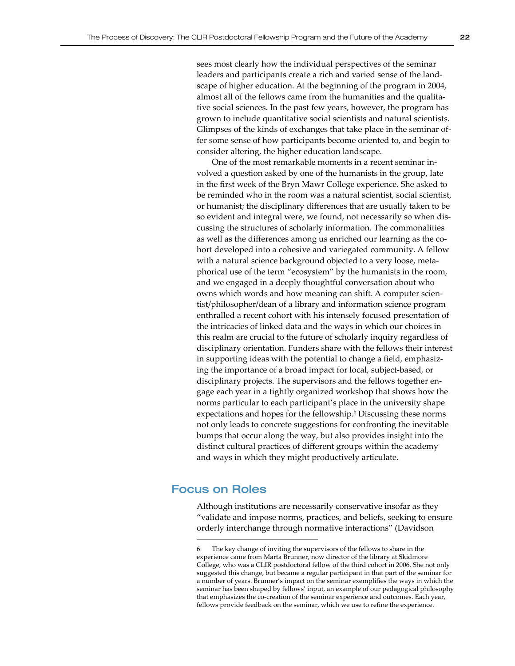sees most clearly how the individual perspectives of the seminar leaders and participants create a rich and varied sense of the landscape of higher education. At the beginning of the program in 2004, almost all of the fellows came from the humanities and the qualitative social sciences. In the past few years, however, the program has grown to include quantitative social scientists and natural scientists. Glimpses of the kinds of exchanges that take place in the seminar offer some sense of how participants become oriented to, and begin to consider altering, the higher education landscape.

One of the most remarkable moments in a recent seminar involved a question asked by one of the humanists in the group, late in the first week of the Bryn Mawr College experience. She asked to be reminded who in the room was a natural scientist, social scientist, or humanist; the disciplinary differences that are usually taken to be so evident and integral were, we found, not necessarily so when discussing the structures of scholarly information. The commonalities as well as the differences among us enriched our learning as the cohort developed into a cohesive and variegated community. A fellow with a natural science background objected to a very loose, metaphorical use of the term "ecosystem" by the humanists in the room, and we engaged in a deeply thoughtful conversation about who owns which words and how meaning can shift. A computer scientist/philosopher/dean of a library and information science program enthralled a recent cohort with his intensely focused presentation of the intricacies of linked data and the ways in which our choices in this realm are crucial to the future of scholarly inquiry regardless of disciplinary orientation. Funders share with the fellows their interest in supporting ideas with the potential to change a field, emphasizing the importance of a broad impact for local, subject-based, or disciplinary projects. The supervisors and the fellows together engage each year in a tightly organized workshop that shows how the norms particular to each participant's place in the university shape expectations and hopes for the fellowship.<sup>6</sup> Discussing these norms not only leads to concrete suggestions for confronting the inevitable bumps that occur along the way, but also provides insight into the distinct cultural practices of different groups within the academy and ways in which they might productively articulate.

### Focus on Roles

Although institutions are necessarily conservative insofar as they "validate and impose norms, practices, and beliefs, seeking to ensure orderly interchange through normative interactions" (Davidson

The key change of inviting the supervisors of the fellows to share in the experience came from Marta Brunner, now director of the library at Skidmore College, who was a CLIR postdoctoral fellow of the third cohort in 2006. She not only suggested this change, but became a regular participant in that part of the seminar for a number of years. Brunner's impact on the seminar exemplifies the ways in which the seminar has been shaped by fellows' input, an example of our pedagogical philosophy that emphasizes the co-creation of the seminar experience and outcomes. Each year, fellows provide feedback on the seminar, which we use to refine the experience.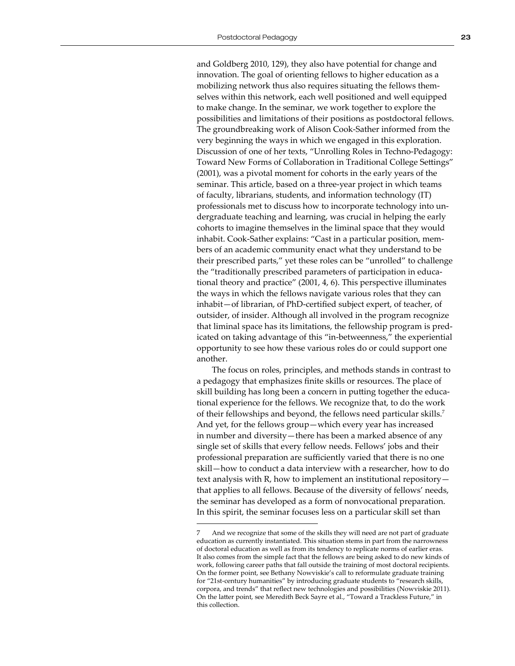and Goldberg 2010, 129), they also have potential for change and innovation. The goal of orienting fellows to higher education as a mobilizing network thus also requires situating the fellows themselves within this network, each well positioned and well equipped to make change. In the seminar, we work together to explore the possibilities and limitations of their positions as postdoctoral fellows. The groundbreaking work of Alison Cook-Sather informed from the very beginning the ways in which we engaged in this exploration. Discussion of one of her texts, "Unrolling Roles in Techno-Pedagogy: Toward New Forms of Collaboration in Traditional College Settings" (2001), was a pivotal moment for cohorts in the early years of the seminar. This article, based on a three-year project in which teams of faculty, librarians, students, and information technology (IT) professionals met to discuss how to incorporate technology into undergraduate teaching and learning, was crucial in helping the early cohorts to imagine themselves in the liminal space that they would inhabit. Cook-Sather explains: "Cast in a particular position, members of an academic community enact what they understand to be their prescribed parts," yet these roles can be "unrolled" to challenge the "traditionally prescribed parameters of participation in educational theory and practice" (2001, 4, 6). This perspective illuminates the ways in which the fellows navigate various roles that they can inhabit—of librarian, of PhD-certified subject expert, of teacher, of outsider, of insider. Although all involved in the program recognize that liminal space has its limitations, the fellowship program is predicated on taking advantage of this "in-betweenness," the experiential opportunity to see how these various roles do or could support one another.

The focus on roles, principles, and methods stands in contrast to a pedagogy that emphasizes finite skills or resources. The place of skill building has long been a concern in putting together the educational experience for the fellows. We recognize that, to do the work of their fellowships and beyond, the fellows need particular skills.<sup>7</sup> And yet, for the fellows group—which every year has increased in number and diversity—there has been a marked absence of any single set of skills that every fellow needs. Fellows' jobs and their professional preparation are sufficiently varied that there is no one skill—how to conduct a data interview with a researcher, how to do text analysis with R, how to implement an institutional repository that applies to all fellows. Because of the diversity of fellows' needs, the seminar has developed as a form of nonvocational preparation. In this spirit, the seminar focuses less on a particular skill set than

And we recognize that some of the skills they will need are not part of graduate education as currently instantiated. This situation stems in part from the narrowness of doctoral education as well as from its tendency to replicate norms of earlier eras. It also comes from the simple fact that the fellows are being asked to do new kinds of work, following career paths that fall outside the training of most doctoral recipients. On the former point, see Bethany Nowviskie's call to reformulate graduate training for "21st-century humanities" by introducing graduate students to "research skills, corpora, and trends" that reflect new technologies and possibilities (Nowviskie 2011). On the latter point, see Meredith Beck Sayre et al., "Toward a Trackless Future," in this collection.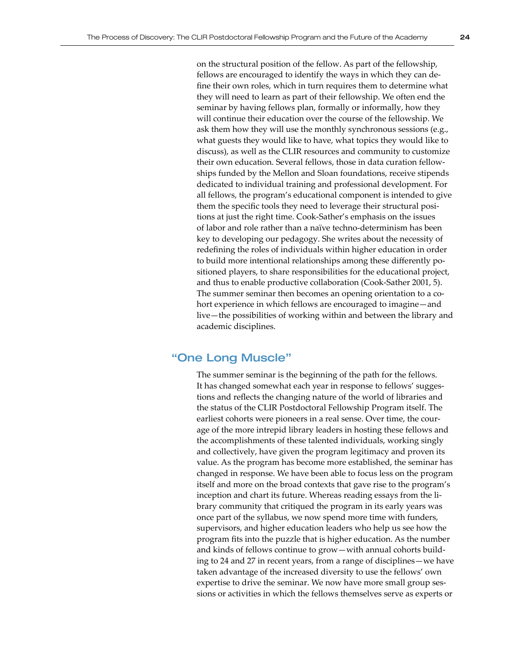on the structural position of the fellow. As part of the fellowship, fellows are encouraged to identify the ways in which they can define their own roles, which in turn requires them to determine what they will need to learn as part of their fellowship. We often end the seminar by having fellows plan, formally or informally, how they will continue their education over the course of the fellowship. We ask them how they will use the monthly synchronous sessions (e.g., what guests they would like to have, what topics they would like to discuss), as well as the CLIR resources and community to customize their own education. Several fellows, those in data curation fellowships funded by the Mellon and Sloan foundations, receive stipends dedicated to individual training and professional development. For all fellows, the program's educational component is intended to give them the specific tools they need to leverage their structural positions at just the right time. Cook-Sather's emphasis on the issues of labor and role rather than a naïve techno-determinism has been key to developing our pedagogy. She writes about the necessity of redefining the roles of individuals within higher education in order to build more intentional relationships among these differently positioned players, to share responsibilities for the educational project, and thus to enable productive collaboration (Cook-Sather 2001, 5). The summer seminar then becomes an opening orientation to a cohort experience in which fellows are encouraged to imagine—and live—the possibilities of working within and between the library and academic disciplines.

### "One Long Muscle"

The summer seminar is the beginning of the path for the fellows. It has changed somewhat each year in response to fellows' suggestions and reflects the changing nature of the world of libraries and the status of the CLIR Postdoctoral Fellowship Program itself. The earliest cohorts were pioneers in a real sense. Over time, the courage of the more intrepid library leaders in hosting these fellows and the accomplishments of these talented individuals, working singly and collectively, have given the program legitimacy and proven its value. As the program has become more established, the seminar has changed in response. We have been able to focus less on the program itself and more on the broad contexts that gave rise to the program's inception and chart its future. Whereas reading essays from the library community that critiqued the program in its early years was once part of the syllabus, we now spend more time with funders, supervisors, and higher education leaders who help us see how the program fits into the puzzle that is higher education. As the number and kinds of fellows continue to grow—with annual cohorts building to 24 and 27 in recent years, from a range of disciplines—we have taken advantage of the increased diversity to use the fellows' own expertise to drive the seminar. We now have more small group sessions or activities in which the fellows themselves serve as experts or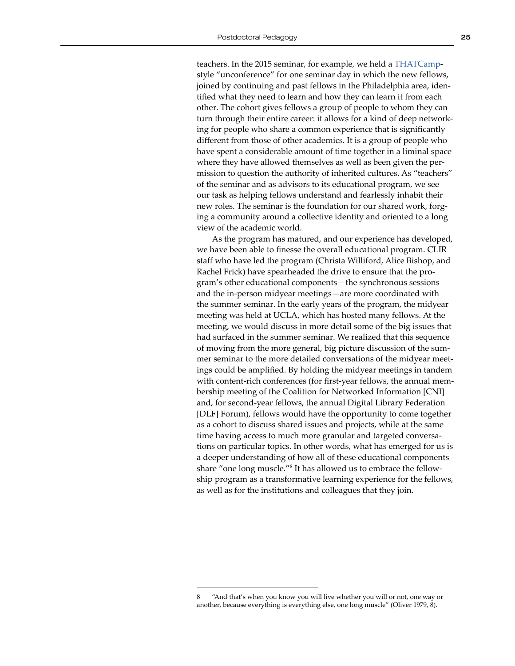teachers. In the 2015 seminar, for example, we held a [THATCamp](http://thatcamp.org/)style "unconference" for one seminar day in which the new fellows, joined by continuing and past fellows in the Philadelphia area, identified what they need to learn and how they can learn it from each other. The cohort gives fellows a group of people to whom they can turn through their entire career: it allows for a kind of deep networking for people who share a common experience that is significantly different from those of other academics. It is a group of people who have spent a considerable amount of time together in a liminal space where they have allowed themselves as well as been given the permission to question the authority of inherited cultures. As "teachers" of the seminar and as advisors to its educational program, we see our task as helping fellows understand and fearlessly inhabit their new roles. The seminar is the foundation for our shared work, forging a community around a collective identity and oriented to a long view of the academic world.

As the program has matured, and our experience has developed, we have been able to finesse the overall educational program. CLIR staff who have led the program (Christa Williford, Alice Bishop, and Rachel Frick) have spearheaded the drive to ensure that the program's other educational components—the synchronous sessions and the in-person midyear meetings—are more coordinated with the summer seminar. In the early years of the program, the midyear meeting was held at UCLA, which has hosted many fellows. At the meeting, we would discuss in more detail some of the big issues that had surfaced in the summer seminar. We realized that this sequence of moving from the more general, big picture discussion of the summer seminar to the more detailed conversations of the midyear meetings could be amplified. By holding the midyear meetings in tandem with content-rich conferences (for first-year fellows, the annual membership meeting of the Coalition for Networked Information [CNI] and, for second-year fellows, the annual Digital Library Federation [DLF] Forum), fellows would have the opportunity to come together as a cohort to discuss shared issues and projects, while at the same time having access to much more granular and targeted conversations on particular topics. In other words, what has emerged for us is a deeper understanding of how all of these educational components share "one long muscle."<sup>8</sup> It has allowed us to embrace the fellowship program as a transformative learning experience for the fellows, as well as for the institutions and colleagues that they join.

<sup>&</sup>quot;And that's when you know you will live whether you will or not, one way or another, because everything is everything else, one long muscle" (Oliver 1979, 8).